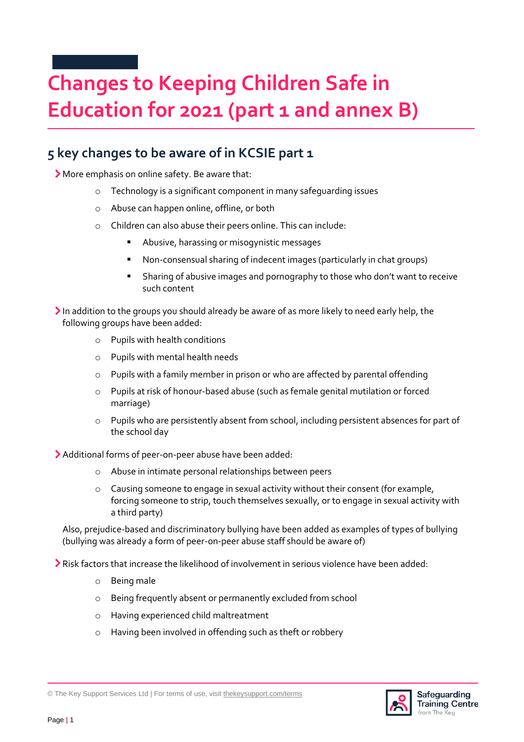## **Changes to Keeping Children Safe in Education for 2021 (part 1 and annex B)**

## **5 key changes to be aware of in KCSIE part 1**

More emphasis on online safety. Be aware that:

- o Technology is a significant component in many safeguarding issues
- o Abuse can happen online, offline, or both
- o Children can also abuse their peers online. This can include:
	- Abusive, harassing or misogynistic messages
	- Non-consensual sharing of indecent images (particularly in chat groups)
	- **EXED** Sharing of abusive images and pornography to those who don't want to receive such content
- In addition to the groups you should already be aware of as more likely to need early help, the following groups have been added:
	- o Pupils with health conditions
	- o Pupils with mental health needs
	- o Pupils with a family member in prison or who are affected by parental offending
	- o Pupils at risk of honour-based abuse (such as female genital mutilation or forced marriage)
	- o Pupils who are persistently absent from school, including persistent absences for part of the school day
- Additional forms of peer-on-peer abuse have been added:
	- o Abuse in intimate personal relationships between peers
	- $\circ$  Causing someone to engage in sexual activity without their consent (for example, forcing someone to strip, touch themselves sexually, or to engage in sexual activity with a third party)

Also, prejudice-based and discriminatory bullying have been added as examples of types of bullying (bullying was already a form of peer-on-peer abuse staff should be aware of)

Risk factors that increase the likelihood of involvement in serious violence have been added:

- o Being male
- o Being frequently absent or permanently excluded from school
- o Having experienced child maltreatment
- o Having been involved in offending such as theft or robbery



<sup>©</sup> The Key Support Services Ltd | For terms of use, visit [thekeysupport.com/terms](https://thekeysupport.com/terms-of-use)